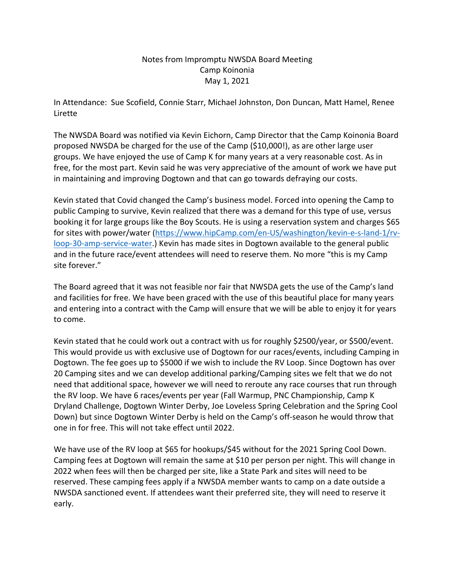## Notes from Impromptu NWSDA Board Meeting Camp Koinonia May 1, 2021

In Attendance: Sue Scofield, Connie Starr, Michael Johnston, Don Duncan, Matt Hamel, Renee Lirette

The NWSDA Board was notified via Kevin Eichorn, Camp Director that the Camp Koinonia Board proposed NWSDA be charged for the use of the Camp (\$10,000!), as are other large user groups. We have enjoyed the use of Camp K for many years at a very reasonable cost. As in free, for the most part. Kevin said he was very appreciative of the amount of work we have put in maintaining and improving Dogtown and that can go towards defraying our costs.

Kevin stated that Covid changed the Camp's business model. Forced into opening the Camp to public Camping to survive, Kevin realized that there was a demand for this type of use, versus booking it for large groups like the Boy Scouts. He is using a reservation system and charges \$65 for sites with power/water (https://www.hipCamp.com/en-US/washington/kevin-e-s-land-1/rvloop-30-amp-service-water.) Kevin has made sites in Dogtown available to the general public and in the future race/event attendees will need to reserve them. No more "this is my Camp site forever."

The Board agreed that it was not feasible nor fair that NWSDA gets the use of the Camp's land and facilities for free. We have been graced with the use of this beautiful place for many years and entering into a contract with the Camp will ensure that we will be able to enjoy it for years to come.

Kevin stated that he could work out a contract with us for roughly \$2500/year, or \$500/event. This would provide us with exclusive use of Dogtown for our races/events, including Camping in Dogtown. The fee goes up to \$5000 if we wish to include the RV Loop. Since Dogtown has over 20 Camping sites and we can develop additional parking/Camping sites we felt that we do not need that additional space, however we will need to reroute any race courses that run through the RV loop. We have 6 races/events per year (Fall Warmup, PNC Championship, Camp K Dryland Challenge, Dogtown Winter Derby, Joe Loveless Spring Celebration and the Spring Cool Down) but since Dogtown Winter Derby is held on the Camp's off-season he would throw that one in for free. This will not take effect until 2022.

We have use of the RV loop at \$65 for hookups/\$45 without for the 2021 Spring Cool Down. Camping fees at Dogtown will remain the same at \$10 per person per night. This will change in 2022 when fees will then be charged per site, like a State Park and sites will need to be reserved. These camping fees apply if a NWSDA member wants to camp on a date outside a NWSDA sanctioned event. If attendees want their preferred site, they will need to reserve it early.